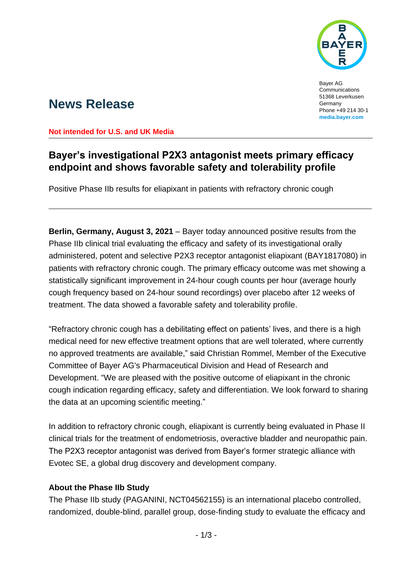

Bayer AG Communications 51368 Leverkusen Germany Phone +49 214 30-1 **[media.bayer.com](http://media.bayer.com/)**

# **News Release**

**Not intended for U.S. and UK Media**

## **Bayer's investigational P2X3 antagonist meets primary efficacy endpoint and shows favorable safety and tolerability profile**

Positive Phase IIb results for eliapixant in patients with refractory chronic cough

**Berlin, Germany, August 3, 2021** – Bayer today announced positive results from the Phase IIb clinical trial evaluating the efficacy and safety of its investigational orally administered, potent and selective P2X3 receptor antagonist eliapixant (BAY1817080) in patients with refractory chronic cough. The primary efficacy outcome was met showing a statistically significant improvement in 24-hour cough counts per hour (average hourly cough frequency based on 24-hour sound recordings) over placebo after 12 weeks of treatment. The data showed a favorable safety and tolerability profile.

"Refractory chronic cough has a debilitating effect on patients' lives, and there is a high medical need for new effective treatment options that are well tolerated, where currently no approved treatments are available," said Christian Rommel, Member of the Executive Committee of Bayer AG's Pharmaceutical Division and Head of Research and Development. "We are pleased with the positive outcome of eliapixant in the chronic cough indication regarding efficacy, safety and differentiation. We look forward to sharing the data at an upcoming scientific meeting."

In addition to refractory chronic cough, eliapixant is currently being evaluated in Phase II clinical trials for the treatment of endometriosis, overactive bladder and neuropathic pain. The P2X3 receptor antagonist was derived from Bayer's former strategic alliance with Evotec SE, a global drug discovery and development company.

### **About the Phase IIb Study**

The Phase IIb study (PAGANINI, NCT04562155) is an international placebo controlled, randomized, double-blind, parallel group, dose-finding study to evaluate the efficacy and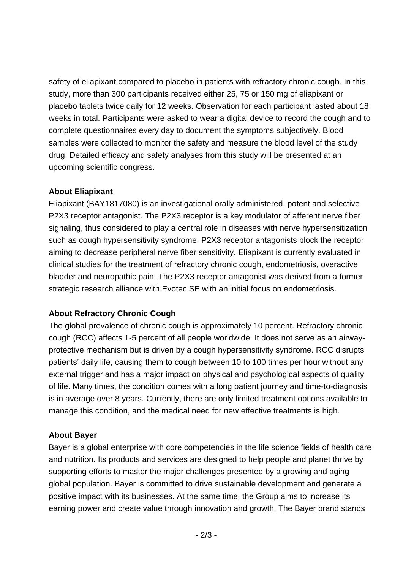safety of eliapixant compared to placebo in patients with refractory chronic cough. In this study, more than 300 participants received either 25, 75 or 150 mg of eliapixant or placebo tablets twice daily for 12 weeks. Observation for each participant lasted about 18 weeks in total. Participants were asked to wear a digital device to record the cough and to complete questionnaires every day to document the symptoms subjectively. Blood samples were collected to monitor the safety and measure the blood level of the study drug. Detailed efficacy and safety analyses from this study will be presented at an upcoming scientific congress.

#### **About Eliapixant**

Eliapixant (BAY1817080) is an investigational orally administered, potent and selective P2X3 receptor antagonist. The P2X3 receptor is a key modulator of afferent nerve fiber signaling, thus considered to play a central role in diseases with nerve hypersensitization such as cough hypersensitivity syndrome. P2X3 receptor antagonists block the receptor aiming to decrease peripheral nerve fiber sensitivity. Eliapixant is currently evaluated in clinical studies for the treatment of refractory chronic cough, endometriosis, overactive bladder and neuropathic pain. The P2X3 receptor antagonist was derived from a former strategic research alliance with Evotec SE with an initial focus on endometriosis.

### **About Refractory Chronic Cough**

The global prevalence of chronic cough is approximately 10 percent. Refractory chronic cough (RCC) affects 1-5 percent of all people worldwide. It does not serve as an airwayprotective mechanism but is driven by a cough hypersensitivity syndrome. RCC disrupts patients' daily life, causing them to cough between 10 to 100 times per hour without any external trigger and has a major impact on physical and psychological aspects of quality of life. Many times, the condition comes with a long patient journey and time-to-diagnosis is in average over 8 years. Currently, there are only limited treatment options available to manage this condition, and the medical need for new effective treatments is high.

### **About Bayer**

Bayer is a global enterprise with core competencies in the life science fields of health care and nutrition. Its products and services are designed to help people and planet thrive by supporting efforts to master the major challenges presented by a growing and aging global population. Bayer is committed to drive sustainable development and generate a positive impact with its businesses. At the same time, the Group aims to increase its earning power and create value through innovation and growth. The Bayer brand stands